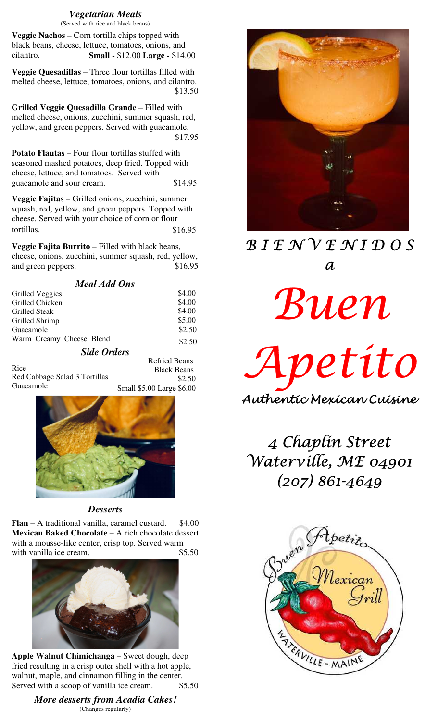# *Vegetarian Meals*

(Served with rice and black beans)

**Veggie Nachos** – Corn tortilla chips topped with black beans, cheese, lettuce, tomatoes, onions, and cilantro. **Small -** \$12.00 **Large -** \$14.00

**Veggie Quesadillas** – Three flour tortillas filled with melted cheese, lettuce, tomatoes, onions, and cilantro. \$13.50

**Grilled Veggie Quesadilla Grande** – Filled with melted cheese, onions, zucchini, summer squash, red, yellow, and green peppers. Served with guacamole. \$17.95

**Potato Flautas** – Four flour tortillas stuffed with seasoned mashed potatoes, deep fried. Topped with cheese, lettuce, and tomatoes. Served with guacamole and sour cream.  $$14.95$ 

**Veggie Fajitas** – Grilled onions, zucchini, summer squash, red, yellow, and green peppers. Topped with cheese. Served with your choice of corn or flour tortillas.  $$16.95$ 

**Veggie Fajita Burrito** – Filled with black beans, cheese, onions, zucchini, summer squash, red, yellow, and green peppers.  $$16.95$ 

| <b>Meal Add Ons</b>      |        |
|--------------------------|--------|
| <b>Grilled Veggies</b>   | \$4.00 |
| Grilled Chicken          | \$4.00 |
| <b>Grilled Steak</b>     | \$4.00 |
| Grilled Shrimp           | \$5.00 |
| Guacamole                | \$2.50 |
| Warm Creamy Cheese Blend | \$2.50 |
| <b>Side Orders</b>       |        |

 Refried Beans Black Beans Rice Red Cabbage Salad 3 Tortillas Guacamole  $$2.50$ Small \$5.00 Large \$6.00



*Desserts*

**Flan**  $-$  A traditional vanilla, caramel custard.  $$4.00$ **Mexican Baked Chocolate** – A rich chocolate dessert with a mousse-like center, crisp top. Served warm with vanilla ice cream.  $$5.50$ 



**Apple Walnut Chimichanga** – Sweet dough, deep fried resulting in a crisp outer shell with a hot apple, walnut, maple, and cinnamon filling in the center. Served with a scoop of vanilla ice cream.  $$5.50$ 

> *More desserts from Acadia Cakes!* (Changes regularly)



# B I E N V E N I D O S  $\boldsymbol{a}$

Buen

Apetito Authentic Mexican Cuisine

4 Chaplin Street Waterville, ME 04901 (207) 861-4649